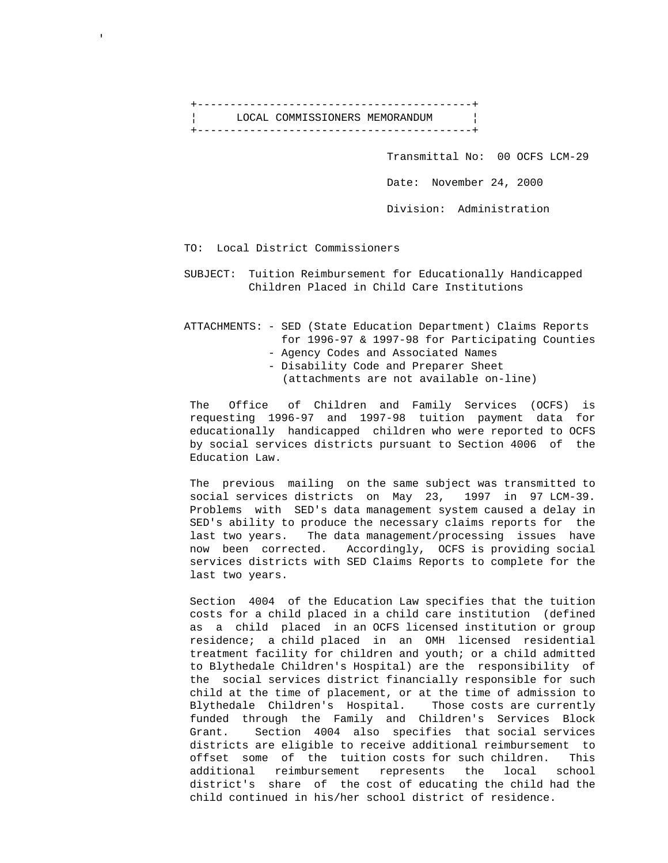+------------------------------------------+ ¦ LOCAL COMMISSIONERS MEMORANDUM ¦ +------------------------------------------+

Transmittal No: 00 OCFS LCM-29

Date: November 24, 2000

Division: Administration

## TO: Local District Commissioners

 SUBJECT: Tuition Reimbursement for Educationally Handicapped Children Placed in Child Care Institutions

## ATTACHMENTS: - SED (State Education Department) Claims Reports for 1996-97 & 1997-98 for Participating Counties - Agency Codes and Associated Names

- 
- Disability Code and Preparer Sheet
- (attachments are not available on-line)

 The Office of Children and Family Services (OCFS) is requesting 1996-97 and 1997-98 tuition payment data for educationally handicapped children who were reported to OCFS by social services districts pursuant to Section 4006 of the Education Law.

 The previous mailing on the same subject was transmitted to social services districts on May 23, 1997 in 97 LCM-39. Problems with SED's data management system caused a delay in SED's ability to produce the necessary claims reports for the last two years. The data management/processing issues have now been corrected. Accordingly, OCFS is providing social services districts with SED Claims Reports to complete for the last two years.

 Section 4004 of the Education Law specifies that the tuition costs for a child placed in a child care institution (defined as a child placed in an OCFS licensed institution or group residence; a child placed in an OMH licensed residential treatment facility for children and youth; or a child admitted to Blythedale Children's Hospital) are the responsibility of the social services district financially responsible for such child at the time of placement, or at the time of admission to Blythedale Children's Hospital. Those costs are currently funded through the Family and Children's Services Block Grant. Section 4004 also specifies that social services districts are eligible to receive additional reimbursement to offset some of the tuition costs for such children. This additional reimbursement represents the local school district's share of the cost of educating the child had the child continued in his/her school district of residence.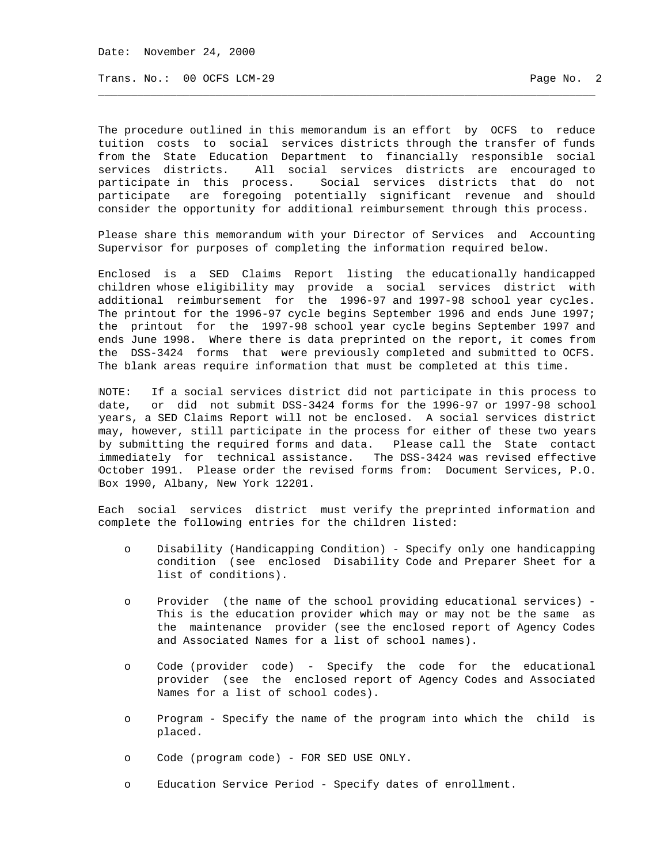Date: November 24, 2000

Trans. No.: 00 OCFS LCM-29 Page No. 2

The procedure outlined in this memorandum is an effort by OCFS to reduce tuition costs to social services districts through the transfer of funds from the State Education Department to financially responsible social services districts. All social services districts are encouraged to participate in this process. Social services districts that do not participate are foregoing potentially significant revenue and should consider the opportunity for additional reimbursement through this process.

\_\_\_\_\_\_\_\_\_\_\_\_\_\_\_\_\_\_\_\_\_\_\_\_\_\_\_\_\_\_\_\_\_\_\_\_\_\_\_\_\_\_\_\_\_\_\_\_\_\_\_\_\_\_\_\_\_\_\_\_\_\_\_\_\_\_\_\_\_\_\_\_\_\_\_\_

Please share this memorandum with your Director of Services and Accounting Supervisor for purposes of completing the information required below.

Enclosed is a SED Claims Report listing the educationally handicapped children whose eligibility may provide a social services district with additional reimbursement for the 1996-97 and 1997-98 school year cycles. The printout for the 1996-97 cycle begins September 1996 and ends June 1997; the printout for the 1997-98 school year cycle begins September 1997 and ends June 1998. Where there is data preprinted on the report, it comes from the DSS-3424 forms that were previously completed and submitted to OCFS. The blank areas require information that must be completed at this time.

NOTE: If a social services district did not participate in this process to date, or did not submit DSS-3424 forms for the 1996-97 or 1997-98 school years, a SED Claims Report will not be enclosed. A social services district may, however, still participate in the process for either of these two years by submitting the required forms and data. Please call the State contact immediately for technical assistance. The DSS-3424 was revised effective October 1991. Please order the revised forms from: Document Services, P.O. Box 1990, Albany, New York 12201.

Each social services district must verify the preprinted information and complete the following entries for the children listed:

- o Disability (Handicapping Condition) Specify only one handicapping condition (see enclosed Disability Code and Preparer Sheet for a list of conditions).
- o Provider (the name of the school providing educational services) This is the education provider which may or may not be the same as the maintenance provider (see the enclosed report of Agency Codes and Associated Names for a list of school names).
- o Code (provider code) Specify the code for the educational provider (see the enclosed report of Agency Codes and Associated Names for a list of school codes).
- o Program Specify the name of the program into which the child is placed.
- o Code (program code) FOR SED USE ONLY.
- o Education Service Period Specify dates of enrollment.